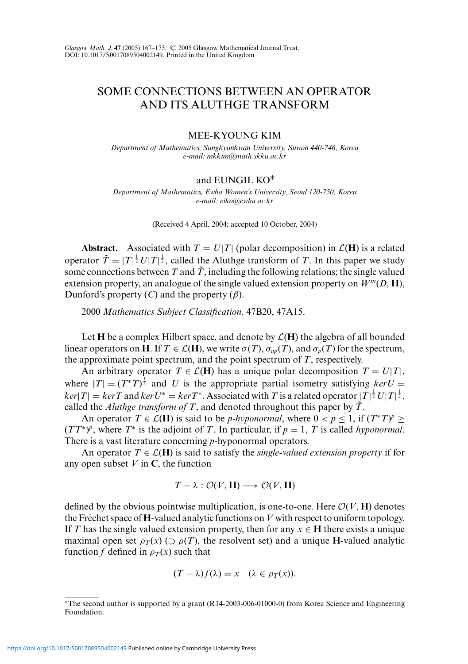## SOME CONNECTIONS BETWEEN AN OPERATOR AND ITS ALUTHGE TRANSFORM

## MEE-KYOUNG KIM

*Department of Mathematics, Sungkyunkwan University, Suwon 440-746, Korea e-mail: mkkim@math.skku.ac.kr*

## and EUNGIL KO∗

*Department of Mathematics, Ewha Women's University, Seoul 120-750, Korea e-mail: eiko@ewha.ac.kr*

(Received 4 April, 2004; accepted 10 October, 2004)

**Abstract.** Associated with  $T = U|T|$  (polar decomposition) in  $\mathcal{L}(\mathbf{H})$  is a related operator  $\tilde{T} = |T|^{\frac{1}{2}} U |T|^{\frac{1}{2}}$ , called the Aluthge transform of *T*. In this paper we study some connections between  $T$  and  $\tilde{T}$ , including the following relations; the single valued extension property, an analogue of the single valued extension property on  $W^m(D, \mathbf{H})$ , Dunford's property  $(C)$  and the property  $(\beta)$ .

2000 *Mathematics Subject Classification.* 47B20, 47A15.

Let **H** be a complex Hilbert space, and denote by  $\mathcal{L}(\mathbf{H})$  the algebra of all bounded linear operators on **H**. If  $T \in \mathcal{L}(\mathbf{H})$ , we write  $\sigma(T)$ ,  $\sigma_{ap}(T)$ , and  $\sigma_{p}(T)$  for the spectrum, the approximate point spectrum, and the point spectrum of *T*, respectively.

An arbitrary operator  $T \in \mathcal{L}(\mathbf{H})$  has a unique polar decomposition  $T = U|T|$ , where  $|T| = (T^*T)^{\frac{1}{2}}$  and *U* is the appropriate partial isometry satisfying  $ker U =$  $ker|T| = kerT$  and  $ker U^* = kerT^*$ . Associated with *T* is a related operator  $|T|^{\frac{1}{2}}U|T|^{\frac{1}{2}}$ , called the *Aluthge transform of T*, and denoted throughout this paper by  $\tilde{T}$ .

An operator  $T \in \mathcal{L}(\mathbf{H})$  is said to be *p*-*hyponormal*, where  $0 < p \le 1$ , if  $(T^*T)^p \ge$  $(TT^*)^p$ , where  $T^*$  is the adjoint of *T*. In particular, if  $p = 1$ , *T* is called *hyponormal*. There is a vast literature concerning *p*-hyponormal operators.

An operator  $T \in \mathcal{L}(\mathbf{H})$  is said to satisfy the *single-valued extension property* if for any open subset  $V$  in  $C$ , the function

$$
T - \lambda : \mathcal{O}(V, \mathbf{H}) \longrightarrow \mathcal{O}(V, \mathbf{H})
$$

defined by the obvious pointwise multiplication, is one-to-one. Here  $\mathcal{O}(V, \mathbf{H})$  denotes the Fréchet space of  $\bf H$ -valued analytic functions on *V* with respect to uniform topology. If *T* has the single valued extension property, then for any  $x \in H$  there exists a unique maximal open set  $\rho_T(x)$  ( $\supset \rho(T)$ , the resolvent set) and a unique **H**-valued analytic function *f* defined in  $\rho_T(x)$  such that

$$
(T - \lambda)f(\lambda) = x \quad (\lambda \in \rho_T(x)).
$$

<sup>∗</sup>The second author is supported by a grant (R14-2003-006-01000-0) from Korea Science and Engineering Foundation.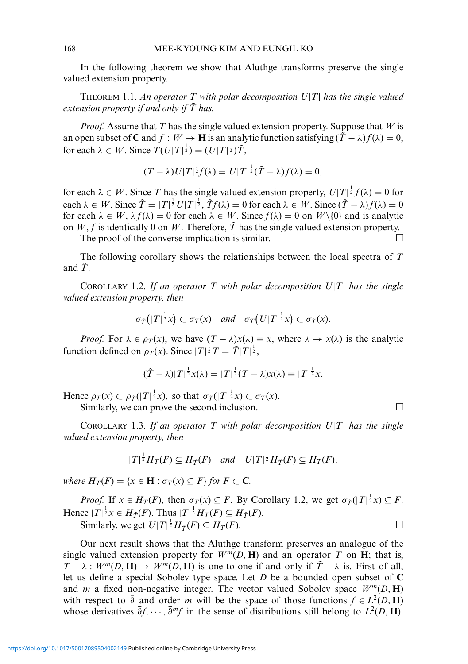In the following theorem we show that Aluthge transforms preserve the single valued extension property.

THEOREM 1.1. *An operator T with polar decomposition U*|*T*| *has the single valued extension property if and only if*  $\tilde{T}$  has.

*Proof.* Assume that *T* has the single valued extension property. Suppose that *W* is an open subset of **C** and  $f : W \to \mathbf{H}$  is an analytic function satisfying  $(\tilde{T} - \lambda) f(\lambda) = 0$ , for each  $\lambda \in W$ . Since  $T(U|T|^{\frac{1}{2}}) = (U|T|^{\frac{1}{2}})T$ ,

$$
(T - \lambda)U|T|^{\frac{1}{2}}f(\lambda) = U|T|^{\frac{1}{2}}(\tilde{T} - \lambda)f(\lambda) = 0,
$$

for each  $\lambda \in W$ . Since *T* has the single valued extension property,  $U|T|^{\frac{1}{2}}f(\lambda) = 0$  for each  $\lambda \in W$ . Since  $\tilde{T} = |T|^{\frac{1}{2}} U |T|^{\frac{1}{2}}$ ,  $\tilde{T} f(\lambda) = 0$  for each  $\lambda \in W$ . Since  $(\tilde{T} - \lambda) f(\lambda) = 0$ for each  $\lambda \in W$ ,  $\lambda f(\lambda) = 0$  for each  $\lambda \in W$ . Since  $f(\lambda) = 0$  on  $W \setminus \{0\}$  and is analytic on *W*, *f* is identically 0 on *W*. Therefore,  $\tilde{T}$  has the single valued extension property.

The proof of the converse implication is similar.  $\Box$ 

The following corollary shows the relationships between the local spectra of *T* and  $\tilde{T}$ .

COROLLARY 1.2. *If an operator T with polar decomposition U*|*T*| *has the single valued extension property, then*

$$
\sigma_{\tilde{T}}(|T|^{\frac{1}{2}}x) \subset \sigma_T(x)
$$
 and  $\sigma_T(U|T|^{\frac{1}{2}}x) \subset \sigma_{\tilde{T}}(x)$ .

*Proof.* For  $\lambda \in \rho_T(x)$ , we have  $(T - \lambda)x(\lambda) \equiv x$ , where  $\lambda \to x(\lambda)$  is the analytic function defined on  $\rho_T(x)$ . Since  $|T|^{\frac{1}{2}}T = \tilde{T}|T|^{\frac{1}{2}}$ ,

$$
(\tilde{T} - \lambda)|T|^{\frac{1}{2}}x(\lambda) = |T|^{\frac{1}{2}}(T - \lambda)x(\lambda) \equiv |T|^{\frac{1}{2}}x.
$$

Hence  $\rho_T(x) \subset \rho_{\tilde{T}}(|T|^{\frac{1}{2}}x)$ , so that  $\sigma_{\tilde{T}}(|T|^{\frac{1}{2}}x) \subset \sigma_T(x)$ . Similarly, we can prove the second inclusion.  $\Box$ 

COROLLARY 1.3. *If an operator T with polar decomposition U*|*T*| *has the single valued extension property, then*

$$
|T|^{\frac{1}{2}}H_T(F) \subseteq H_{\tilde{T}}(F) \quad \text{and} \quad U|T|^{\frac{1}{2}}H_{\tilde{T}}(F) \subseteq H_T(F),
$$

*where*  $H_T(F) = \{x \in \mathbf{H} : \sigma_T(x) \subseteq F\}$  *for*  $F \subset \mathbf{C}$ *.* 

*Proof.* If  $x \in H_T(F)$ , then  $\sigma_T(x) \subseteq F$ . By Corollary 1.2, we get  $\sigma_T(|T|^{\frac{1}{2}}x) \subseteq F$ . Hence  $|T|^{\frac{1}{2}}x \in H_{\tilde{T}}(F)$ . Thus  $|T|^{\frac{1}{2}}H_T(F) \subseteq H_{\tilde{T}}(F)$ .

Similarly, we get  $U|T|^{\frac{1}{2}}H_{\tilde{T}}(F) \subseteq H_T(F)$ .

Our next result shows that the Aluthge transform preserves an analogue of the single valued extension property for  $W^m(D, H)$  and an operator T on H; that is, *T* −  $\lambda$  : *W<sup>m</sup>*(*D*, **H**) → *W<sup>m</sup>*(*D*, **H**) is one-to-one if and only if  $\tilde{T}$  −  $\lambda$  is. First of all, let us define a special Sobolev type space. Let *D* be a bounded open subset of **C** and *m* a fixed non-negative integer. The vector valued Sobolev space  $W^m(D, H)$ with respect to  $\bar{\partial}$  and order *m* will be the space of those functions  $f \in L^2(D, \mathbf{H})$ whose derivatives  $\bar{\partial}f, \dots, \bar{\partial}mf$  in the sense of distributions still belong to  $L^2(D, \mathbf{H})$ .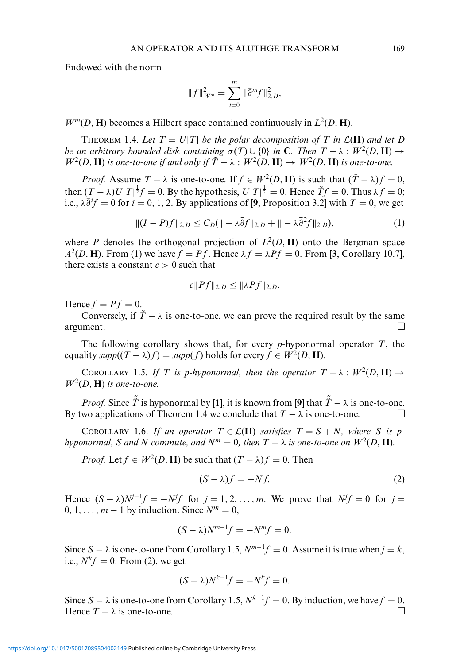Endowed with the norm

$$
||f||_{W^m}^2 = \sum_{i=0}^m ||\bar{\partial}^m f||_{2,D}^2,
$$

 $W^m(D, H)$  becomes a Hilbert space contained continuously in  $L^2(D, H)$ .

THEOREM 1.4. Let  $T = U|T|$  be the polar decomposition of T in  $\mathcal{L}(\mathbf{H})$  and let D *be an arbitrary bounded disk containing*  $\sigma(T) \cup \{0\}$  *in* **C***. Then*  $T - \lambda : W^2(D, \mathbf{H}) \rightarrow$  $W^2(D, \mathbf{H})$  *is one-to-one if and only if*  $\tilde{T} - \lambda : W^2(D, \mathbf{H}) \to W^2(D, \mathbf{H})$  *is one-to-one.* 

*Proof.* Assume  $T - \lambda$  is one-to-one. If  $f \in W^2(D, \mathbf{H})$  is such that  $(T - \lambda)f = 0$ , then  $(T - \lambda)U|T|^{\frac{1}{2}}f = 0$ . By the hypothesis,  $U|T|^{\frac{1}{2}} = 0$ . Hence  $\tilde{T}f = 0$ . Thus  $\lambda f = 0$ ; i.e.,  $\lambda \overline{\partial}^i f = 0$  for  $i = 0, 1, 2$ . By applications of [9, Proposition 3.2] with  $T = 0$ , we get

$$
||(I - P)f||_{2,D} \le C_D(|| - \lambda \overline{\partial} f||_{2,D} + || - \lambda \overline{\partial}^2 f||_{2,D}),
$$
\n(1)

where *P* denotes the orthogonal projection of  $L^2(D, H)$  onto the Bergman space  $A^2(D, H)$ . From (1) we have  $f = Pf$ . Hence  $\lambda f = \lambda Pf = 0$ . From [3, Corollary 10.7], there exists a constant  $c > 0$  such that

$$
c||Pf||_{2,D} \le ||\lambda Pf||_{2,D}.
$$

Hence  $f = Pf = 0$ .

Conversely, if  $\tilde{T} - \lambda$  is one-to-one, we can prove the required result by the same argument.  $\Box$ 

The following corollary shows that, for every *p*-hyponormal operator *T*, the equality  $supp((T - \lambda)f) = supp(f)$  holds for every  $f \in W^2(D, \mathbf{H})$ .

COROLLARY 1.5. If T is p-hyponormal, then the operator  $T - \lambda : W^2(D, H) \rightarrow$  $W^2(D, H)$  *is one-to-one.* 

*Proof.* Since  $\tilde{T}$  is hyponormal by [1], it is known from [9] that  $\tilde{T} - \lambda$  is one-to-one. By two applications of Theorem 1.4 we conclude that  $T - \lambda$  is one-to-one.

COROLLARY 1.6. *If an operator*  $T \in \mathcal{L}(\mathbf{H})$  *satisfies*  $T = S + N$ *, where* S *is phyponormal, S and N commute, and N<sup>m</sup>* = 0*, then*  $T - \lambda$  *is one-to-one on*  $W^2(D, \mathbf{H})$ *.* 

*Proof.* Let  $f \in W^2(D, \mathbf{H})$  be such that  $(T - \lambda)f = 0$ . Then

$$
(S - \lambda)f = -Nf. \tag{2}
$$

Hence  $(S - \lambda)N^{j-1}f = -N^jf$  for  $j = 1, 2, ..., m$ . We prove that  $N^jf = 0$  for  $j =$  $0, 1, \ldots, m-1$  by induction. Since  $N^m = 0$ ,

$$
(S - \lambda)N^{m-1}f = -N^m f = 0.
$$

Since *S* −  $\lambda$  is one-to-one from Corollary 1.5,  $N^{m-1}f = 0$ . Assume it is true when  $j = k$ , i.e.,  $N^k f = 0$ . From (2), we get

$$
(S - \lambda)N^{k-1}f = -N^k f = 0.
$$

Since *S* −  $\lambda$  is one-to-one from Corollary 1.5,  $N^{k-1}f = 0$ . By induction, we have  $f = 0$ . Hence  $T - \lambda$  is one-to-one.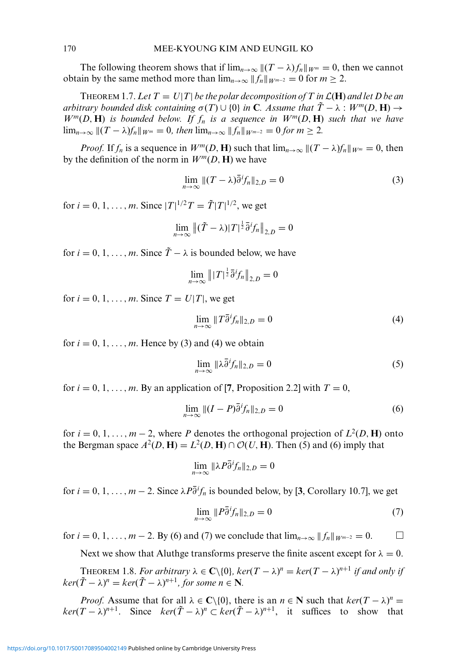The following theorem shows that if  $\lim_{n\to\infty}$   $\|(T-\lambda)f_n\|_{W^m}=0$ , then we cannot obtain by the same method more than  $\lim_{n\to\infty} ||f_n||_{W^{m-2}} = 0$  for  $m \ge 2$ .

THEOREM 1.7. Let  $T = U|T|$  be the polar decomposition of T in  $\mathcal{L}(\mathbf{H})$  and let D be an *arbitrary bounded disk containing*  $\sigma(T) \cup \{0\}$  *in* **C***. Assume that*  $\tilde{T} - \lambda : W^m(D, \mathbf{H}) \rightarrow$  $W^m(D, H)$  *is bounded below. If*  $f_n$  *is a sequence in*  $W^m(D, H)$  *such that we have*  $\lim_{n\to\infty}$   $\|(T-\lambda)f_n\|_{W^m}=0$ , then  $\lim_{n\to\infty}$   $\|f_n\|_{W^{m-2}}=0$  for  $m\geq 2$ .

*Proof.* If  $f_n$  is a sequence in  $W^m(D, \mathbf{H})$  such that  $\lim_{n\to\infty} ||(T-\lambda)f_n||_{W^m} = 0$ , then by the definition of the norm in  $W^m(D, H)$  we have

$$
\lim_{n \to \infty} \|(T - \lambda)\overline{\partial}^i f_n\|_{2,D} = 0 \tag{3}
$$

for  $i = 0, 1, ..., m$ . Since  $|T|^{1/2}T = \tilde{T}|T|^{1/2}$ , we get

$$
\lim_{n\to\infty}\left\|(\tilde{T}-\lambda)|T|^{\frac{1}{2}}\bar{\partial}^i f_n\right\|_{2,D}=0
$$

for  $i = 0, 1, \ldots, m$ . Since  $\tilde{T} - \lambda$  is bounded below, we have

$$
\lim_{n\to\infty} \| |T|^{\frac{1}{2}} \overline{\partial}^i f_n \|_{2,D} = 0
$$

for  $i = 0, 1, \ldots, m$ . Since  $T = U|T|$ , we get

$$
\lim_{n \to \infty} \|T \overline{\partial}^i f_n\|_{2,D} = 0 \tag{4}
$$

for  $i = 0, 1, \ldots, m$ . Hence by (3) and (4) we obtain

$$
\lim_{n \to \infty} \|\lambda \bar{\partial}^i f_n\|_{2,D} = 0 \tag{5}
$$

for  $i = 0, 1, \ldots, m$ . By an application of [7, Proposition 2.2] with  $T = 0$ ,

$$
\lim_{n \to \infty} \|(I - P)\overline{\partial}^i f_n\|_{2,D} = 0 \tag{6}
$$

for  $i = 0, 1, \ldots, m-2$ , where *P* denotes the orthogonal projection of  $L^2(D, \mathbf{H})$  onto the Bergman space  $A^2(D, H) = L^2(D, H) \cap \mathcal{O}(U, H)$ . Then (5) and (6) imply that

$$
\lim_{n\to\infty} \|\lambda P\overline{\partial}^i f_n\|_{2,D}=0
$$

for *i* = 0, 1, ..., *m* − 2. Since  $\lambda P \overline{\partial}^i f_n$  is bounded below, by [3, Corollary 10.7], we get

$$
\lim_{n \to \infty} ||P\overline{\partial}^i f_n||_{2,D} = 0 \tag{7}
$$

for  $i = 0, 1, ..., m - 2$ . By (6) and (7) we conclude that  $\lim_{n \to \infty} ||f_n||_{W^{m-2}} = 0$ . □

Next we show that Aluthge transforms preserve the finite ascent except for  $\lambda = 0$ .

**THEOREM 1.8.** For arbitrary  $\lambda \in \mathbb{C} \setminus \{0\}$ ,  $\ker(T - \lambda)^n = \ker(T - \lambda)^{n+1}$  if and only if  $\ker(\tilde{T} - \lambda)^n = \ker(\tilde{T} - \lambda)^{n+1}$ , for some  $n \in \mathbb{N}$ .

*Proof.* Assume that for all  $\lambda \in \mathbb{C} \setminus \{0\}$ , there is an  $n \in \mathbb{N}$  such that  $\ker((T - \lambda)^n)$  $ker(T - \lambda)^{n+1}$ . Since  $ker(\tilde{T} - \lambda)^n \subset ker(\tilde{T} - \lambda)^{n+1}$ , it suffices to show that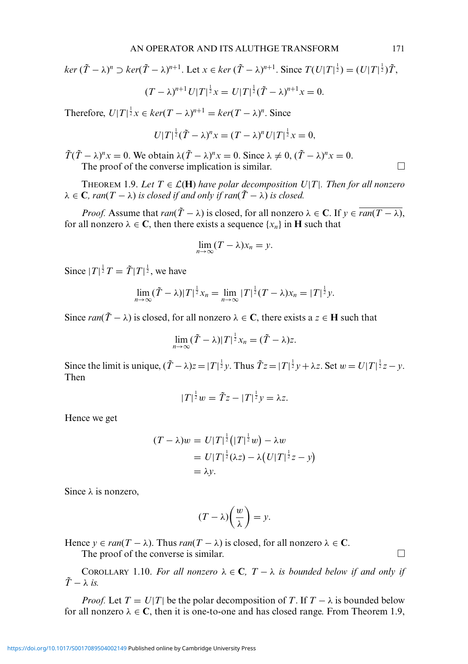$$
\ker (\tilde{T} - \lambda)^n \supset \ker (\tilde{T} - \lambda)^{n+1}.\text{ Let } x \in \ker (\tilde{T} - \lambda)^{n+1}.\text{ Since } T(U|T|^{\frac{1}{2}}) = (U|T|^{\frac{1}{2}})\tilde{T},
$$

$$
(T - \lambda)^{n+1}U|T|^{\frac{1}{2}}x = U|T|^{\frac{1}{2}}(\tilde{T} - \lambda)^{n+1}x = 0.
$$

Therefore,  $U|T|^{\frac{1}{2}}x \in \text{ker}(T - \lambda)^{n+1} = \text{ker}(T - \lambda)^n$ . Since

$$
U|T|^{\frac{1}{2}}(\tilde{T}-\lambda)^{n}x=(T-\lambda)^{n}U|T|^{\frac{1}{2}}x=0,
$$

 $\tilde{T}(\tilde{T} - \lambda)^n x = 0$ . We obtain  $\lambda(\tilde{T} - \lambda)^n x = 0$ . Since  $\lambda \neq 0$ ,  $(\tilde{T} - \lambda)^n x = 0$ . The proof of the converse implication is similar.  $\Box$ 

THEOREM 1.9. Let  $T \in \mathcal{L}(\mathbf{H})$  have polar decomposition  $U|T|$ . Then for all nonzero  $\lambda \in \mathbb{C}$ *, ran*( $T - \lambda$ ) *is closed if and only if ran*( $\tilde{T} - \lambda$ ) *is closed.* 

*Proof.* Assume that  $ran(\tilde{T} - \lambda)$  is closed, for all nonzero  $\lambda \in \mathbb{C}$ . If  $y \in \overline{ran(T - \lambda)}$ , for all nonzero  $\lambda \in \mathbb{C}$ , then there exists a sequence  $\{x_n\}$  in **H** such that

$$
\lim_{n\to\infty}(T-\lambda)x_n=y.
$$

Since  $|T|^{\frac{1}{2}}T = \tilde{T}|T|^{\frac{1}{2}}$ , we have

$$
\lim_{n\to\infty}(\tilde{T}-\lambda)|T|^{\frac{1}{2}}x_n=\lim_{n\to\infty}|T|^{\frac{1}{2}}(T-\lambda)x_n=|T|^{\frac{1}{2}}y.
$$

Since  $ran(\tilde{T} - \lambda)$  is closed, for all nonzero  $\lambda \in \mathbb{C}$ , there exists a  $z \in \mathbb{H}$  such that

$$
\lim_{n\to\infty}(\tilde{T}-\lambda)|T|^{\frac{1}{2}}x_n=(\tilde{T}-\lambda)z.
$$

Since the limit is unique,  $(\tilde{T} - \lambda)z = |T|^{\frac{1}{2}}y$ . Thus  $\tilde{T}z = |T|^{\frac{1}{2}}y + \lambda z$ . Set  $w = U|T|^{\frac{1}{2}}z - y$ . Then

$$
|T|^{\frac{1}{2}}w = \tilde{T}z - |T|^{\frac{1}{2}}y = \lambda z.
$$

Hence we get

$$
(T - \lambda)w = U|T|^{\frac{1}{2}}\left(|T|^{\frac{1}{2}}w\right) - \lambda w
$$
  
=  $U|T|^{\frac{1}{2}}(\lambda z) - \lambda \left(U|T|^{\frac{1}{2}}z - y\right)$   
=  $\lambda y$ .

Since  $\lambda$  is nonzero,

$$
(T - \lambda) \left(\frac{w}{\lambda}\right) = y.
$$

Hence  $y \in \text{ran}(T - \lambda)$ . Thus  $\text{ran}(T - \lambda)$  is closed, for all nonzero  $\lambda \in \mathbb{C}$ . The proof of the converse is similar.  $\Box$ 

COROLLARY 1.10. For all nonzero  $\lambda \in \mathbb{C}$ ,  $T - \lambda$  is bounded below if and only if  $\tilde{T} - \lambda$  *is.* 

*Proof.* Let  $T = U|T|$  be the polar decomposition of T. If  $T - \lambda$  is bounded below for all nonzero  $\lambda \in \mathbb{C}$ , then it is one-to-one and has closed range. From Theorem 1.9,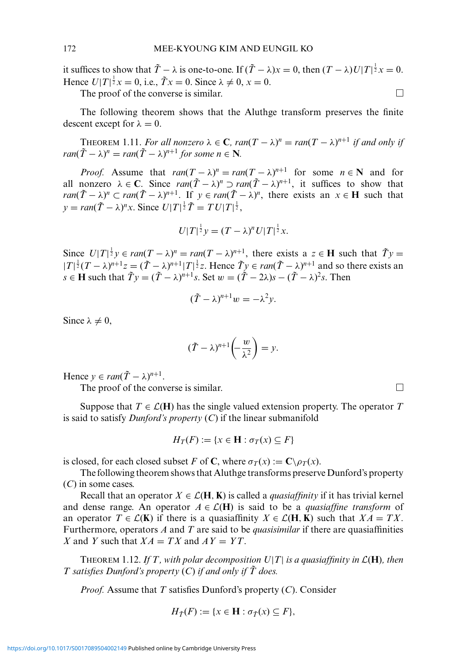it suffices to show that  $\tilde{T} - \lambda$  is one-to-one. If  $(\tilde{T} - \lambda)x = 0$ , then  $(T - \lambda)U|T|^{\frac{1}{2}}x = 0$ . Hence  $U[T]^{\frac{1}{2}}x = 0$ , i.e.,  $\tilde{T}x = 0$ . Since  $\lambda \neq 0$ ,  $x = 0$ . The proof of the converse is similar.  $\Box$ 

The following theorem shows that the Aluthge transform preserves the finite descent except for  $\lambda = 0$ .

THEOREM 1.11. For all nonzero  $\lambda \in \mathbb{C}$ ,  $ran(T - \lambda)^n = ran(T - \lambda)^{n+1}$  if and only if *ran*( $\tilde{T} - \lambda$ )<sup>*n*</sup> = *ran*( $\tilde{T} - \lambda$ )<sup>*n*+1</sup> *for some n*  $\in$  **N***.* 

*Proof.* Assume that  $ran(T - \lambda)^n = ran(T - \lambda)^{n+1}$  for some  $n \in \mathbb{N}$  and for all nonzero  $\lambda \in \mathbb{C}$ . Since  $ran(\tilde{T} - \lambda)^n \supset ran(\tilde{T} - \lambda)^{n+1}$ , it suffices to show that *ran*( $\tilde{T} - \lambda$ )<sup>*n*</sup> ⊂ *ran*( $\tilde{T} - \lambda$ )<sup>*n*+1</sup>. If  $y \in ran(\tilde{T} - \lambda)$ <sup>*n*</sup>, there exists an  $x \in$  **H** such that  $y = \text{ran}(\tilde{T} - \lambda)^n x$ . Since  $U|T|^{\frac{1}{2}}\tilde{T} = TU|T|^{\frac{1}{2}}$ ,

$$
U|T|^{\frac{1}{2}}y = (T - \lambda)^n U|T|^{\frac{1}{2}}x.
$$

Since  $U[T]^{\frac{1}{2}}y \in \text{ran}(T - \lambda)^n = \text{ran}(T - \lambda)^{n+1}$ , there exists a  $z \in H$  such that  $\tilde{T}y =$  $|T|^{\frac{1}{2}}(T-\lambda)^{n+1}z = (\tilde{T}-\lambda)^{n+1}|T|^{\frac{1}{2}}z$ . Hence  $\tilde{T}y \in \text{ran}(\tilde{T}-\lambda)^{n+1}$  and so there exists an  $s \in H$  such that  $\tilde{T}y = (\tilde{T} - \lambda)^{n+1}s$ . Set  $w = (\tilde{T} - 2\lambda)s - (\tilde{T} - \lambda)^2s$ . Then

$$
(\tilde{T} - \lambda)^{n+1} w = -\lambda^2 y.
$$

Since  $\lambda \neq 0$ ,

$$
(\tilde{T} - \lambda)^{n+1} \left( -\frac{w}{\lambda^2} \right) = y.
$$

Hence  $y \in ran(\tilde{T} - \lambda)^{n+1}$ .

The proof of the converse is similar.  $\Box$ 

Suppose that  $T \in \mathcal{L}(\mathbf{H})$  has the single valued extension property. The operator T is said to satisfy *Dunford's property* (*C*) if the linear submanifold

$$
H_T(F) := \{ x \in \mathbf{H} : \sigma_T(x) \subseteq F \}
$$

is closed, for each closed subset *F* of **C**, where  $\sigma_T(x) := \mathbf{C} \setminus \rho_T(x)$ .

The following theorem shows that Aluthge transforms preserve Dunford's property (*C*) in some cases.

Recall that an operator  $X \in \mathcal{L}(\mathbf{H}, \mathbf{K})$  is called a *quasiaffinity* if it has trivial kernel and dense range. An operator  $A \in \mathcal{L}(\mathbf{H})$  is said to be a *quasiaffine transform* of an operator  $T \in \mathcal{L}(\mathbf{K})$  if there is a quasiaffinity  $X \in \mathcal{L}(\mathbf{H}, \mathbf{K})$  such that  $XA = TX$ . Furthermore, operators *A* and *T* are said to be *quasisimilar* if there are quasiaffinities *X* and *Y* such that  $XA = TX$  and  $AY = YT$ .

THEOREM 1.12. If T, with polar decomposition  $U|T|$  is a quasiaffinity in  $\mathcal{L}(\mathbf{H})$ , then *T* satisfies Dunford's property (C) if and only if  $\tilde{T}$  does.

*Proof.* Assume that *T* satisfies Dunford's property (*C*). Consider

$$
H_{\tilde{T}}(F) := \{ x \in \mathbf{H} : \sigma_{\tilde{T}}(x) \subseteq F \},\
$$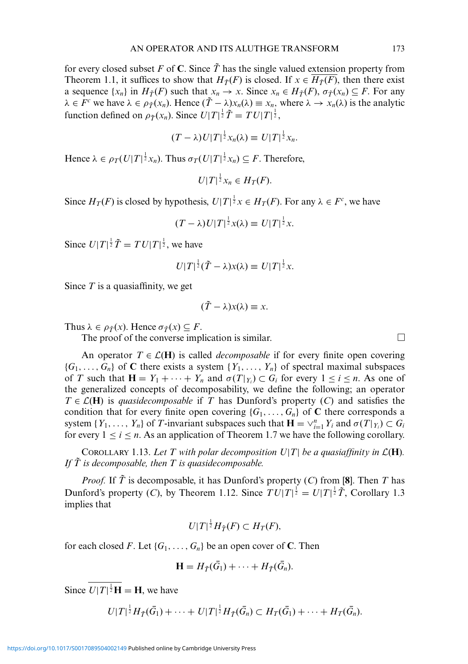for every closed subset F of C. Since  $\tilde{T}$  has the single valued extension property from Theorem 1.1, it suffices to show that  $H_{\tilde{T}}(F)$  is closed. If  $x \in H_{\tilde{T}}(F)$ , then there exist a sequence  $\{x_n\}$  in  $H_{\tilde{T}}(F)$  such that  $x_n \to x$ . Since  $x_n \in H_{\tilde{T}}(F)$ ,  $\sigma_{\tilde{T}}(x_n) \subseteq F$ . For any  $\lambda \in F^c$  we have  $\lambda \in \rho_{\tilde{T}}(x_n)$ . Hence  $(\tilde{T} - \lambda)x_n(\lambda) \equiv x_n$ , where  $\lambda \to x_n(\lambda)$  is the analytic function defined on  $\rho_{\tilde{T}}(x_n)$ . Since  $U|T|^{\frac{1}{2}}\tilde{T} = TU|T|^{\frac{1}{2}}$ ,

$$
(T - \lambda)U|T|^{\frac{1}{2}}x_n(\lambda) \equiv U|T|^{\frac{1}{2}}x_n.
$$

Hence  $\lambda \in \rho_T(U|T|^{\frac{1}{2}}x_n)$ . Thus  $\sigma_T(U|T|^{\frac{1}{2}}x_n) \subseteq F$ . Therefore,

 $U|T|^{\frac{1}{2}}x_n \in H_T(F).$ 

Since  $H_T(F)$  is closed by hypothesis,  $U|T|^{\frac{1}{2}}x \in H_T(F)$ . For any  $\lambda \in F^c$ , we have

$$
(T - \lambda)U|T|^{\frac{1}{2}}x(\lambda) \equiv U|T|^{\frac{1}{2}}x.
$$

Since  $U|T|^{\frac{1}{2}}\tilde{T} = TU|T|^{\frac{1}{2}}$ , we have

$$
U|T|^{\frac{1}{2}}(\tilde{T}-\lambda)x(\lambda)\equiv U|T|^{\frac{1}{2}}x.
$$

Since *T* is a quasiaffinity, we get

$$
(\tilde{T} - \lambda)x(\lambda) \equiv x.
$$

Thus  $\lambda \in \rho_{\tilde{T}}(x)$ . Hence  $\sigma_{\tilde{T}}(x) \subseteq F$ .

The proof of the converse implication is similar.  $\Box$ 

An operator  $T \in \mathcal{L}(\mathbf{H})$  is called *decomposable* if for every finite open covering  ${G_1, \ldots, G_n}$  of **C** there exists a system  ${Y_1, \ldots, Y_n}$  of spectral maximal subspaces of *T* such that  $\mathbf{H} = Y_1 + \cdots + Y_n$  and  $\sigma(T|_{Y_i}) \subset G_i$  for every  $1 \le i \le n$ . As one of the generalized concepts of decomposability, we define the following; an operator  $T \in \mathcal{L}(\mathbf{H})$  is *quasidecomposable* if *T* has Dunford's property (*C*) and satisfies the condition that for every finite open covering  ${G_1, \ldots, G_n}$  of **C** there corresponds a system  $\{Y_1, \ldots, Y_n\}$  of *T*-invariant subspaces such that  $\mathbf{H} = \vee_{i=1}^n Y_i$  and  $\sigma(T|_{Y_i}) \subset G_i$ for every  $1 \le i \le n$ . As an application of Theorem 1.7 we have the following corollary.

COROLLARY 1.13. Let T with polar decomposition  $U|T|$  be a quasiaffinity in  $\mathcal{L}(\mathbf{H})$ . *If*  $\tilde{T}$  *is decomposable, then*  $T$  *is quasidecomposable.* 

*Proof.* If  $\tilde{T}$  is decomposable, it has Dunford's property (*C*) from [8]. Then *T* has Dunford's property (*C*), by Theorem 1.12. Since  $TU|T|^{\frac{1}{2}} = U|T|^{\frac{1}{2}}\tilde{T}$ , Corollary 1.3 implies that

$$
U|T|^{\frac{1}{2}}H_{\tilde{T}}(F)\subset H_T(F),
$$

for each closed *F*. Let  $\{G_1, \ldots, G_n\}$  be an open cover of **C**. Then

$$
\mathbf{H} = H_{\tilde{T}}(\bar{G}_1) + \cdots + H_{\tilde{T}}(\bar{G}_n).
$$

Since  $U[T]^{\frac{1}{2}}H = H$ , we have

$$
U|T|^{\frac{1}{2}}H_{\tilde{T}}(\bar{G}_1)+\cdots+U|T|^{\frac{1}{2}}H_{\tilde{T}}(\bar{G}_n)\subset H_T(\bar{G}_1)+\cdots+H_T(\bar{G}_n).
$$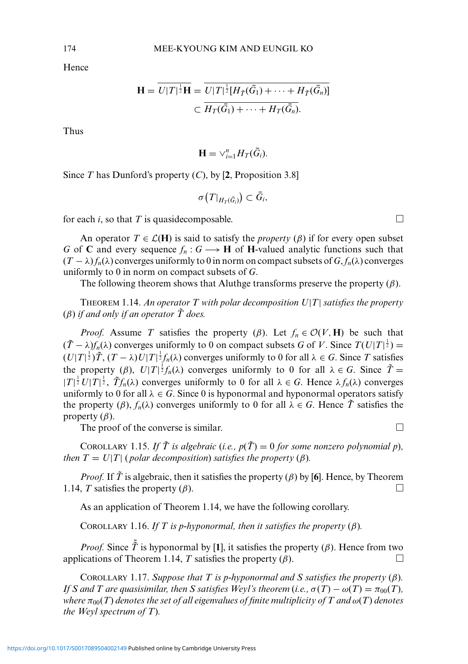Hence

$$
\mathbf{H} = \overline{U|T|^{\frac{1}{2}}\mathbf{H}} = \overline{U|T|^{\frac{1}{2}}[H_{\tilde{T}}(\bar{G}_1) + \cdots + H_{\tilde{T}}(\bar{G}_n)]}
$$

$$
\subset \overline{H_T(\bar{G}_1) + \cdots + H_T(\bar{G}_n)}.
$$

Thus

$$
\mathbf{H}=\vee_{i=1}^n H_T(\bar{G}_i).
$$

Since *T* has Dunford's property (*C*), by [**2**, Proposition 3.8]

$$
\sigma\big(T|_{H_T(\bar{G}_i)}\big) \subset \bar{G}_i,
$$

for each *i*, so that *T* is quasidecomposable.

An operator  $T \in \mathcal{L}(\mathbf{H})$  is said to satisfy the *property* ( $\beta$ ) if for every open subset *G* of **C** and every sequence  $f_n: G \longrightarrow H$  of **H**-valued analytic functions such that  $(T - \lambda) f_n(\lambda)$  converges uniformly to 0 in norm on compact subsets of  $G, f_n(\lambda)$  converges uniformly to 0 in norm on compact subsets of *G*.

The following theorem shows that Aluthge transforms preserve the property  $(\beta)$ .

THEOREM 1.14. *An operator T with polar decomposition U*|*T*| *satisfies the property* ( $\beta$ ) *if and only if an operator*  $\tilde{T}$  *does.* 

*Proof.* Assume *T* satisfies the property ( $\beta$ ). Let  $f_n \in \mathcal{O}(V, \mathbf{H})$  be such that  $(\tilde{T} - \lambda) f_n(\lambda)$  converges uniformly to 0 on compact subsets *G* of *V*. Since  $T(U|T|^{\frac{1}{2}})$  =  $(U|T|^{\frac{1}{2}}) \tilde{T}$ ,  $(T - \lambda) U|T|^{\frac{1}{2}} f_n(\lambda)$  converges uniformly to 0 for all  $\lambda \in G$ . Since *T* satisfies the property (*β*),  $U|T|^{\frac{1}{2}}f_n(\lambda)$  converges uniformly to 0 for all  $\lambda \in G$ . Since  $\tilde{T} =$  $|T|^{\frac{1}{2}}U|T|^{\frac{1}{2}}$ ,  $\tilde{T}f_n(\lambda)$  converges uniformly to 0 for all  $\lambda \in G$ . Hence  $\lambda f_n(\lambda)$  converges uniformly to 0 for all  $\lambda \in G$ . Since 0 is hyponormal and hyponormal operators satisfy the property  $(\beta)$ ,  $f_n(\lambda)$  converges uniformly to 0 for all  $\lambda \in G$ . Hence  $\tilde{T}$  satisfies the property  $(\beta)$ .

The proof of the converse is similar.  $\Box$ 

COROLLARY 1.15. If  $\tilde{T}$  is algebraic (*i.e.*,  $p(\tilde{T}) = 0$  for some nonzero polynomial p), *then*  $T = U|T|$  (*polar decomposition*) *satisfies the property* ( $\beta$ )*.* 

*Proof.* If  $\tilde{T}$  is algebraic, then it satisfies the property ( $\beta$ ) by [6]. Hence, by Theorem 1.14, *T* satisfies the property  $(\beta)$ .

As an application of Theorem 1.14, we have the following corollary.

COROLLARY 1.16. *If*  $T$  is *p-hyponormal, then it satisfies the property* ( $\beta$ ).

*Proof.* Since  $\tilde{\tilde{T}}$  is hyponormal by [1], it satisfies the property ( $\beta$ ). Hence from two applications of Theorem 1.14, *T* satisfies the property  $(\beta)$ .

COROLLARY 1.17. *Suppose that T is p-hyponormal and S satisfies the property* (β)*. If S* and *T* are quasisimilar, then *S* satisfies Weyl's theorem (*i.e.*,  $\sigma(T) - \omega(T) = \pi_{00}(T)$ , *where*  $\pi_{00}(T)$  *denotes the set of all eigenvalues of finite multiplicity of T and*  $\omega(T)$  *denotes the Weyl spectrum of T*)*.*